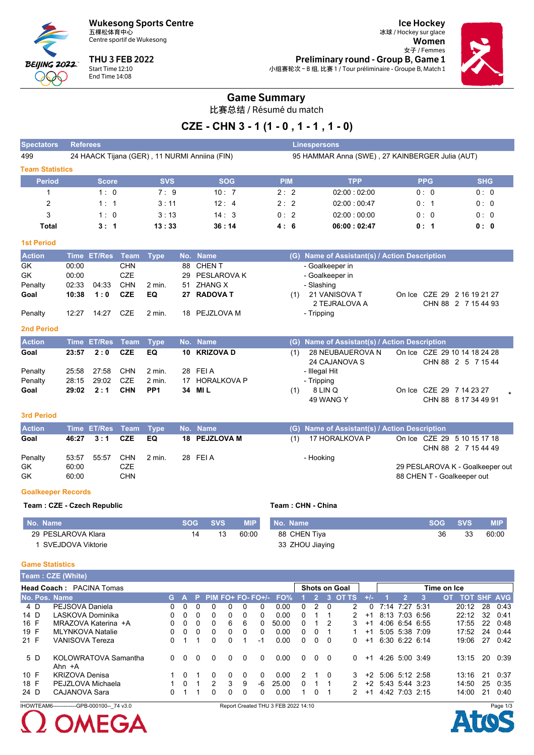**Wukesong Sports Centre** 五棵松体育中心



Centre sportif de Wukesong

**THU 3 FEB 2022** Start Time 12:10 End Time 14:08

**Ice Hockey** 冰球 / Hockey sur glace Women 女子 / Femmes Preliminary round - Group B, Game 1 小组赛轮次-B组,比赛1/Tour préliminaire - Groupe B, Match 1



### **Game Summary**

比赛总结 / Résumé du match

## CZE - CHN 3 - 1 (1 - 0, 1 - 1, 1 - 0)

| Spectators             | <b>Referees</b>                               |             |            |             | <b>Linespersons</b>                             |            |            |  |  |  |
|------------------------|-----------------------------------------------|-------------|------------|-------------|-------------------------------------------------|------------|------------|--|--|--|
| 499                    | 24 HAACK Tijana (GER), 11 NURMI Anniina (FIN) |             |            |             | 95 HAMMAR Anna (SWE), 27 KAINBERGER Julia (AUT) |            |            |  |  |  |
| <b>Team Statistics</b> |                                               |             |            |             |                                                 |            |            |  |  |  |
| <b>Period</b>          | <b>Score</b>                                  | <b>SVS</b>  | <b>SOG</b> | <b>PIM</b>  | <b>TPP</b>                                      | <b>PPG</b> | <b>SHG</b> |  |  |  |
|                        | 1:0                                           | $7 \cdot 9$ | 10:7       | 2:2         | 02:00:02:00                                     | 0:0        | 0:0        |  |  |  |
| 2                      | 1:1                                           | 3:11        | 12:4       | $2 \cdot 2$ | 02:00:00:47                                     | 0:1        | 0:0        |  |  |  |
| 3                      | 1:0                                           | 3:13        | 14:3       | 0:2         | 02:00:00:00                                     | 0:0        | 0:0        |  |  |  |
| Total                  | 3:1                                           | 13:33       | 36:14      | 4:6         | 06:00:02:47                                     | 0:1        | 0:0        |  |  |  |

#### **1st Period**

| <b>Action</b> |       | Time ET/Res Team Type |            |        | No. Name       |     | (G) Name of Assistant(s) / Action Description |  |                                                    |
|---------------|-------|-----------------------|------------|--------|----------------|-----|-----------------------------------------------|--|----------------------------------------------------|
| GK            | 00:00 |                       | <b>CHN</b> |        | 88 CHEN T      |     | - Goalkeeper in                               |  |                                                    |
| GK            | 00:00 |                       | CZE        |        | 29 PESLAROVA K |     | - Goalkeeper in                               |  |                                                    |
| Penalty       | 02:33 | 04:33                 | <b>CHN</b> | 2 min. | 51 ZHANG X     |     | - Slashing                                    |  |                                                    |
| Goal          | 10:38 | 1:0                   | <b>CZE</b> | EQ     | 27 RADOVA T    | (1) | 21 VANISOVA T<br>2 TEJRALOVA A                |  | On Ice CZE 29 2 16 19 21 27<br>CHN 88 2 7 15 44 93 |
| Penalty       | 12:27 | 14:27                 | CZE        | 2 min. | 18 PEJZLOVA M  |     | - Tripping                                    |  |                                                    |

#### 2nd Period

| <b>Action</b> |       | Time ET/Res Team Type |            |                 | No. Name       |     | (G) Name of Assistant(s) / Action Description |                          |                                                    |  |
|---------------|-------|-----------------------|------------|-----------------|----------------|-----|-----------------------------------------------|--------------------------|----------------------------------------------------|--|
| Goal          | 23:57 | 2:0                   | CZE        | EQ.             | 10 KRIZOVA D   | (1) | 28 NEUBAUEROVA N<br>24 CAJANOVA S             |                          | On Ice CZE 29 10 14 18 24 28<br>CHN 88 2 5 7 15 44 |  |
| Penalty       |       | 25:58 27:58           | CHN        | 2 min.          | 28 FEIA        |     | - Illegal Hit                                 |                          |                                                    |  |
| Penalty       | 28:15 | 29:02                 | CZE        | 2 min.          | 17 HORALKOVA P |     | - Tripping                                    |                          |                                                    |  |
| Goal          | 29:02 | 2:1                   | <b>CHN</b> | PP <sub>1</sub> | 34 MIL         |     | 8 LIN Q<br>49 WANG Y                          | On Ice CZE 29 7 14 23 27 | CHN 88 8 17 34 49 91                               |  |

#### 3rd Period

| <b>Action</b> |       | Time ET/Res Team Type |     |        | No. Name      |     | (G) Name of Assistant(s) / Action Description |                             |                                 |
|---------------|-------|-----------------------|-----|--------|---------------|-----|-----------------------------------------------|-----------------------------|---------------------------------|
| Goal          |       | 46:27 3:1 CZE         |     | EQ     | 18 PEJZLOVA M | (1) | 17 HORALKOVA P                                | On Ice CZE 29 5 10 15 17 18 | CHN 88 2 7 15 44 49             |
| Penalty       | 53:57 | 55:57                 | CHN | 2 min. | 28 FEIA       |     | - Hooking                                     |                             |                                 |
| <b>GK</b>     | 60:00 |                       | CZE |        |               |     |                                               |                             | 29 PESLAROVA K - Goalkeeper out |
| <b>GK</b>     | 60:00 |                       | CHN |        |               |     |                                               | 88 CHEN T - Goalkeeper out  |                                 |

#### **Goalkeeper Records**

#### Team: CZE - Czech Republic

| No. Name           |    | SOG SVS | <b>MIP</b> | No. Name        | <b>SOG</b> | <b>SVS</b> | <b>MIP</b> |
|--------------------|----|---------|------------|-----------------|------------|------------|------------|
| 29 PESLAROVA Klara | 14 |         | 60:00      | 88 CHEN Tiya    | 36         | 33         | 60:00      |
| SVEJDOVA Viktorie  |    |         |            | 33 ZHOU Jiaying |            |            |            |

Team: CHN - China

#### Ga

| <b>Game Statistics</b> |                                            |    |          |          |          |   |          |                    |                                     |          |          |          |                      |       |           |                |             |    |                    |
|------------------------|--------------------------------------------|----|----------|----------|----------|---|----------|--------------------|-------------------------------------|----------|----------|----------|----------------------|-------|-----------|----------------|-------------|----|--------------------|
|                        | Team: CZE (White)                          |    |          |          |          |   |          |                    |                                     |          |          |          |                      |       |           |                |             |    |                    |
|                        | <b>Head Coach: PACINA Tomas</b>            |    |          |          |          |   |          |                    |                                     |          |          |          | <b>Shots on Goal</b> |       |           |                | Time on Ice |    |                    |
| No. Pos. Name          |                                            | G. | Α        | P.       |          |   |          | $PIM FO+ FO-FO+/-$ | FO%                                 |          |          | 3        | <b>OT TS</b>         | $+/-$ | 2         | ß.             | OT .        |    | <b>TOT SHF AVG</b> |
| 4 D                    | PEJSOVA Daniela                            | 0  | $\Omega$ | $\Omega$ | $\Omega$ | 0 | $\Omega$ | 0                  | 0.00                                | 0        | 2        | $\Omega$ | 2                    | 0     | 7:14 7:27 | -5:31          | 20:12       | 28 | 0:43               |
| 14 D                   | LASKOVA Dominika                           | 0  | 0        | $\Omega$ | 0        | 0 | 0        | 0                  | 0.00                                | 0        |          |          | 2                    | $+1$  |           | 8:13 7:03 6:56 | 22:12       | 32 | 0:41               |
| 16 F                   | MRAZOVA Katerina +A                        | 0  | 0        | $\Omega$ | 0        | 6 | 6        | 0                  | 50.00                               | 0        |          |          | 3                    | $+1$  |           | 4:06 6:54 6:55 | 17:55       | 22 | 0:48               |
| 19 F                   | <b>MLYNKOVA Natalie</b>                    | 0  | 0        | 0        | 0        | 0 | 0        | 0                  | 0.00                                | 0        | $\Omega$ |          |                      | $+1$  |           | 5:05 5:38 7:09 | 17:52       | 24 | 0:44               |
| 21 F                   | <b>VANISOVA Tereza</b>                     | 0  |          |          | 0        | 0 |          | -1                 | 0.00                                | 0        | 0        | 0        | 0                    | $+1$  |           | 6:30 6:22 6:14 | 19:06       | 27 | 0:42               |
| 5 D                    | KOLOWRATOVA Samantha<br>Ahn +A             | 0  | $\Omega$ | 0        | 0        | 0 | $\Omega$ | $\Omega$           | 0.00                                | $\Omega$ | $\Omega$ | $\Omega$ | $\Omega$             | $+1$  |           | 4.26 5.00 3.49 | 13:15       | 20 | 0:39               |
| 10 F                   | <b>KRIZOVA Denisa</b>                      |    | 0        |          | 0        | 0 | 0        | $\Omega$           | 0.00                                | 2        |          | 0        | 3                    | $+2$  |           | 5:06 5:12 2:58 | 13:16       | 21 | 0:37               |
| 18 F                   | PEJZLOVA Michaela                          |    | $\Omega$ |          | 2        | 3 | 9        | -6                 | 25.00                               | 0        |          |          | 2                    | $+2$  |           | 5:43 5:44 3:23 | 14:50       | 25 | 0:35               |
| 24 D                   | <b>CAJANOVA Sara</b>                       | 0  |          |          | 0        | 0 | 0        | 0                  | 0.00                                | 1        | $\Omega$ |          | 2                    | $+1$  |           | 4:42 7:03 2:15 | 14:00       | 21 | 0:40               |
|                        | IHOWTEAM6-------------GPB-000100-- 74 v3.0 |    |          |          |          |   |          |                    | Report Created THU 3 FEB 2022 14:10 |          |          |          |                      |       |           |                |             |    | Page 1/3           |
|                        |                                            |    |          |          |          |   |          |                    |                                     |          |          |          |                      |       |           |                |             |    |                    |

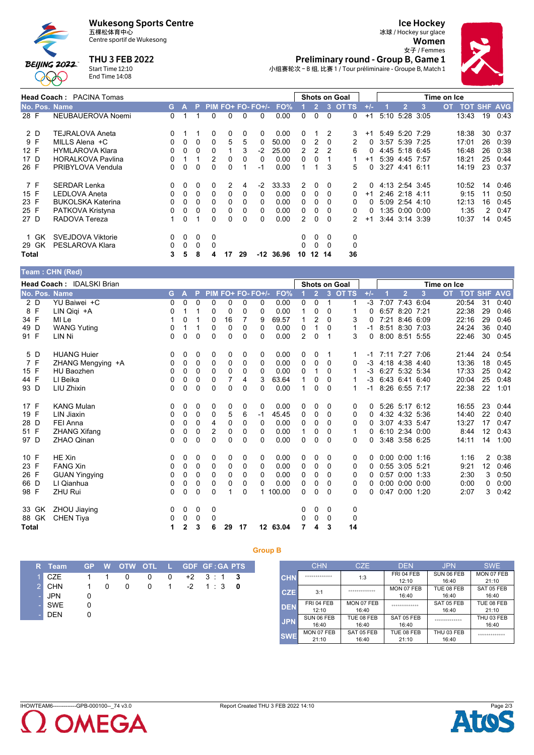# Wukesong Sports Centre<br>五棵松体育中心



# Centre sportif de Wukesong

**THU 3 FEB 2022** 

### **Ice Hockey**

冰球 / Hockey sur glace Women



Femmes<br>Preliminary round - Group B, Game 1 小组赛轮次-B组,比赛1/Tour préliminaire - Groupe B, Match 1

Start Time 12:10<br>End Time 14:08

|                      | <b>Head Coach: PACINA Tomas</b> |    |          |          |              |    |    |                   |       |    |              |          | <b>Shots on Goal</b> |          |                |      | Time on Ice |                    |    |      |
|----------------------|---------------------------------|----|----------|----------|--------------|----|----|-------------------|-------|----|--------------|----------|----------------------|----------|----------------|------|-------------|--------------------|----|------|
| <b>No. Pos. Name</b> |                                 | G. | A        | P.       |              |    |    | $PIM FO+FO-FO+/-$ | FO%   |    | 2            | 3        | <b>OT TS</b>         | $+/-$    | 2              | 3    | <b>OT</b>   | <b>TOT SHF AVG</b> |    |      |
| 28 F                 | NEUBAUEROVA Noemi               | 0  |          |          | 0            | 0  | 0  | $\Omega$          | 0.00  | 0  | 0            | $\Omega$ | $\Omega$             | $+1$     | 5:10 5:28      | 3:05 |             | 13:43              | 19 | 0.43 |
| 2 D                  | <b>TEJRALOVA Aneta</b>          | 0  |          |          | 0            | 0  | 0  | $\Omega$          | 0.00  | 0  |              | 2        | 3                    | $+1$     | 5:49 5:20 7:29 |      |             | 18:38              | 30 | 0:37 |
| 9 F                  | MILLS Alena +C                  | 0  | $\Omega$ | $\Omega$ | 0            | 5  | 5  |                   | 50.00 | 0  | 2            | $\Omega$ | 2                    | 0        | 3:57 5:39      | 7:25 |             | 17:01              | 26 | 0:39 |
| 12 F                 | <b>HYMLAROVA Klara</b>          | 0  | 0        | 0        | 0            |    | 3  | $-2$              | 25.00 |    |              | 2        | 6                    |          | 4:45 5:18 6:45 |      |             | 16:48              | 26 | 0:38 |
| 17 D                 | <b>HORALKOVA Pavlina</b>        | 0  |          |          | 2            | 0  | 0  |                   | 0.00  | 0  | 0            |          |                      | $+1$     | 5:39 4:45      | 7.57 |             | 18:21              | 25 | 0.44 |
| 26 F                 | PRIBYLOVA Vendula               | 0  | 0        | $\Omega$ | <sup>0</sup> | U  |    | -1                | 0.00  |    |              | 3        | 5.                   | $\Omega$ | $3:27$ 4:41    | 6:11 |             | 14:19              | 23 | 0:37 |
| 7 F                  | <b>SERDAR Lenka</b>             | 0  | $\Omega$ | 0        | 0            | 2  | 4  | $-2$              | 33.33 | 2  | 0            | $\Omega$ | 2                    | $\Omega$ | 4:13 2:54 3:45 |      |             | 10:52              | 14 | 0:46 |
| 15 F                 | <b>LEDLOVA Aneta</b>            | 0  | $\Omega$ | 0        | 0            | 0  | 0  | 0                 | 0.00  | 0  | 0            | 0        | 0                    | $+1$     | 2:46 2:18      | 4:11 |             | 9:15               | 11 | 0:50 |
| 23 F                 | <b>BUKOLSKA Katerina</b>        | 0  | 0        | $\Omega$ | 0            | 0  | 0  | $\Omega$          | 0.00  | 0  | 0            |          | 0                    | 0        | 5:09 2:54      | 4:10 |             | 12:13              | 16 | 0:45 |
| 25 F                 | PATKOVA Kristyna                | 0  | $\Omega$ | 0        | 0            | 0  | 0  | 0                 | 0.00  | 0  | 0            | 0        | $\Omega$             | 0        | 1:35 0:00 0:00 |      |             | 1:35               | 2  | 0:47 |
| 27 D                 | RADOVA Tereza                   |    | $\Omega$ |          | $\Omega$     | 0  | 0  | $\Omega$          | 0.00  | 2  | 0            | $\Omega$ | 2                    | $+1$     | 3.44 3.14 3.39 |      |             | 10:37              | 14 | 0:45 |
| 1 GK                 | SVEJDOVA Viktorie               | 0  | $\Omega$ | 0        | $\Omega$     |    |    |                   |       | 0  | 0            | $\Omega$ | 0                    |          |                |      |             |                    |    |      |
| 29 GK                | PESLAROVA Klara                 | 0  | $\Omega$ | 0        | 0            |    |    |                   |       | 0  | $\mathbf{0}$ | $\Omega$ | 0                    |          |                |      |             |                    |    |      |
| Total                |                                 | 3  | 5        | 8        | 4            | 17 | 29 | -12               | 36.96 | 10 | 12           | -14      | 36                   |          |                |      |             |                    |    |      |

#### Team : CHN (Red)

|              |       | <b>Head Coach: IDALSKI Brian</b> |    |              |          |                |             |             | Shots on Goal<br>Time on Ice |          |               |                |             |         |       |      |                      |      |           |                    |    |      |
|--------------|-------|----------------------------------|----|--------------|----------|----------------|-------------|-------------|------------------------------|----------|---------------|----------------|-------------|---------|-------|------|----------------------|------|-----------|--------------------|----|------|
|              |       | No. Pos. Name                    | G. | A            | P.       |                |             |             | PIM FO+ FO- FO+/-            | FO%      |               | $\overline{2}$ |             | 3 OT TS | $+/-$ |      | $\overline{2}$       | 3    | <b>OT</b> | <b>TOT SHF AVG</b> |    |      |
|              | 2 D   | YU Baiwei +C                     | 0  | 0            | $\Omega$ | 0              | 0           | 0           | 0                            | 0.00     | 0             | $\Omega$       | $\mathbf 1$ | 1       | -3    |      | 7:07 7:43 6:04       |      |           | 20:54              | 31 | 0:40 |
|              | 8 F   | LIN Qiqi +A                      | 0  |              |          | 0              | 0           | 0           | 0                            | 0.00     |               | $\Omega$       | 0           | 1       | 0     |      | 6:57 8:20 7:21       |      |           | 22:38              | 29 | 0:46 |
| 34 F         |       | MI Le                            |    | 0            |          | 0              | 16          | 7           | 9                            | 69.57    |               | 2              | $\Omega$    | 3       | 0     |      | 7:21 8:46 6:09       |      |           | 22:16              | 29 | 0:46 |
| 49 D         |       | <b>WANG Yuting</b>               | 0  |              |          | 0              | $\mathbf 0$ | 0           | 0                            | 0.00     | 0             | 1              | 0           | 1       | -1    |      | 8:51 8:30 7:03       |      |           | 24:24              | 36 | 0:40 |
| 91 F         |       | LIN Ni                           | 0  | $\Omega$     | $\Omega$ | $\Omega$       | 0           | $\Omega$    | 0                            | 0.00     | $\mathcal{P}$ | $\Omega$       | 1           | 3       | 0     |      | 8:00 8:51 5:55       |      |           | 22:46              | 30 | 0:45 |
|              | 5 D   | <b>HUANG Huier</b>               | 0  | 0            | 0        | 0              | 0           | 0           | 0                            | 0.00     | 0             | $\Omega$       |             | 1       | -1    |      | 7:11 7:27 7:06       |      |           | 21:44              | 24 | 0.54 |
|              | 7 F   | ZHANG Mengying +A                | 0  | 0            | $\Omega$ | 0              | $\mathbf 0$ | $\mathbf 0$ | 0                            | 0.00     | $\Omega$      | 0              | $\Omega$    | 0       | $-3$  |      | 4:18 4:38 4:40       |      |           | 13:36              | 18 | 0:45 |
| 15 F         |       | <b>HU Baozhen</b>                | 0  | 0            | 0        | 0              | $\Omega$    | 0           | 0                            | 0.00     | 0             |                | 0           | 1       | $-3$  |      | 6:27 5:32 5:34       |      |           | 17:33              | 25 | 0:42 |
| 44 F         |       | LI Beika                         | 0  | 0            | 0        | 0              | 7           | 4           | 3                            | 63.64    |               | 0              | 0           | 1       | $-3$  |      | 6:43 6:41 6:40       |      |           | 20:04              | 25 | 0:48 |
| 93 D         |       | LIU Zhixin                       | 0  | 0            | $\Omega$ | $\mathbf 0$    | $\Omega$    | $\Omega$    | 0                            | 0.00     | 1             | 0              | $\Omega$    | 1       | $-1$  |      | 8:26 6:55 7:17       |      |           | 22:38              | 22 | 1:01 |
| 17 F         |       | <b>KANG Mulan</b>                | 0  | 0            | 0        | 0              | 0           | 0           | 0                            | 0.00     | 0             | 0              | 0           | 0       | 0     |      | $5:26$ $5:17$ $6:12$ |      |           | 16:55              | 23 | 0:44 |
| 19 F         |       | <b>LIN Jiaxin</b>                | 0  | 0            | 0        | 0              | 5           | 6           | -1                           | 45.45    | 0             | $\Omega$       | $\Omega$    | 0       | 0     |      | 4:32 4:32 5:36       |      |           | 14:40              | 22 | 0:40 |
| 28 D         |       | FEI Anna                         | 0  | 0            | 0        | 4              | $\mathbf 0$ | 0           | 0                            | 0.00     | 0             | 0              | 0           | 0       | 0     |      | 3:07 4:33 5:47       |      |           | 13:27              | 17 | 0:47 |
| 51 F         |       | <b>ZHANG Xifang</b>              | 0  | 0            | 0        | $\overline{2}$ | $\mathbf 0$ | 0           | 0                            | 0.00     | 1             | 0              | 0           | 1       | 0     |      | 6:10 2:34 0:00       |      |           | 8:44               | 12 | 0:43 |
| 97 D         |       | <b>ZHAO Qinan</b>                | 0  | $\Omega$     | $\Omega$ | $\Omega$       | $\Omega$    | $\Omega$    | 0                            | 0.00     | 0             | 0              | $\Omega$    | 0       | 0     |      | 3:48 3:58 6:25       |      |           | 14:11              | 14 | 1:00 |
| 10 F         |       | HE Xin                           | 0  | 0            | 0        | 0              | 0           | 0           | 0                            | 0.00     | 0             | 0              | 0           | 0       | 0     |      | $0:00$ $0:00$ 1:16   |      |           | 1:16               | 2  | 0:38 |
| 23 F         |       | <b>FANG Xin</b>                  | 0  | 0            | $\Omega$ | 0              | $\mathbf 0$ | $\mathbf 0$ | 0                            | 0.00     | 0             | $\Omega$       | $\Omega$    | 0       | 0     |      | $0:55$ 3:05 5:21     |      |           | 9:21               | 12 | 0:46 |
| 26 F         |       | <b>GUAN Yingying</b>             | 0  | 0            | 0        | 0              | $\Omega$    | 0           | 0                            | 0.00     | 0             | 0              | 0           | 0       | 0     |      | 0:57 0:00 1:33       |      |           | 2:30               | 3  | 0:50 |
| 66 D         |       | LI Qianhua                       | 0  | 0            | 0        | 0              | 0           | 0           | 0                            | 0.00     | 0             | 0              | 0           | 0       | 0     |      | $0:00$ $0:00$ $0:00$ |      |           | 0:00               | 0  | 0:00 |
| 98 F         |       | <b>ZHU Rui</b>                   | 0  | 0            | $\Omega$ | $\Omega$       | 1           | 0           | $\mathbf{1}$                 | 100.00   | 0             | 0              | 0           | 0       | 0     | 0:47 | 0:00                 | 1:20 |           | 2:07               | 3  | 0:42 |
|              | 33 GK | ZHOU Jiaying                     | 0  | 0            | 0        | 0              |             |             |                              |          | 0             | 0              | 0           | 0       |       |      |                      |      |           |                    |    |      |
|              | 88 GK | <b>CHEN Tiya</b>                 | 0  | 0            | 0        | 0              |             |             |                              |          | 0             | $\Omega$       | 0           | 0       |       |      |                      |      |           |                    |    |      |
| <b>Total</b> |       |                                  | 1  | $\mathbf{2}$ | 3        | 6              | 29          | 17          |                              | 12 63.04 |               | 4              | 3           | 14      |       |      |                      |      |           |                    |    |      |

**Group B** 

| R Team            |           |             |                |                |  | GP W OTW OTL L GDF GF:GA PTS  |  |
|-------------------|-----------|-------------|----------------|----------------|--|-------------------------------|--|
| $1 \, \text{CZE}$ |           | $1 \quad 1$ | $\overline{0}$ | $\overline{0}$ |  | $0 +2 3 :1 3$                 |  |
| 2 CHN             | $1 \quad$ | $\Omega$    | $\overline{0}$ |                |  | $0 \t 1 \t -2 \t 1 \t 3 \t 0$ |  |
| $-$ JPN           |           |             |                |                |  |                               |  |
| - SWE             |           |             |                |                |  |                               |  |
| <b>DEN</b>        |           |             |                |                |  |                               |  |

|            | <b>CHN</b>          | <b>CZE</b>          | <b>DEN</b>          | <b>JPN</b>          | <b>SWE</b>          |
|------------|---------------------|---------------------|---------------------|---------------------|---------------------|
| <b>CHN</b> | *************       | 1:3                 | FRI 04 FEB<br>12:10 | SUN 06 FEB<br>16:40 | MON 07 FEB<br>21:10 |
| <b>CZE</b> | 3:1                 | *************       | MON 07 FEB<br>16:40 | TUE 08 FEB<br>16:40 | SAT 05 FEB<br>16:40 |
| <b>DEN</b> | FRI 04 FEB<br>12:10 | MON 07 FEB<br>16:40 | *************       | SAT 05 FEB<br>16:40 | TUE 08 FEB<br>21:10 |
| <b>JPN</b> | SUN 06 FEB<br>16:40 | TUE 08 FEB<br>16:40 | SAT 05 FEB<br>16:40 | *************       | THU 03 FEB<br>16:40 |
| <b>SWE</b> | MON 07 FEB<br>21:10 | SAT 05 FEB<br>16:40 | TUE 08 FEB<br>21:10 | THU 03 FEB<br>16:40 | *************       |